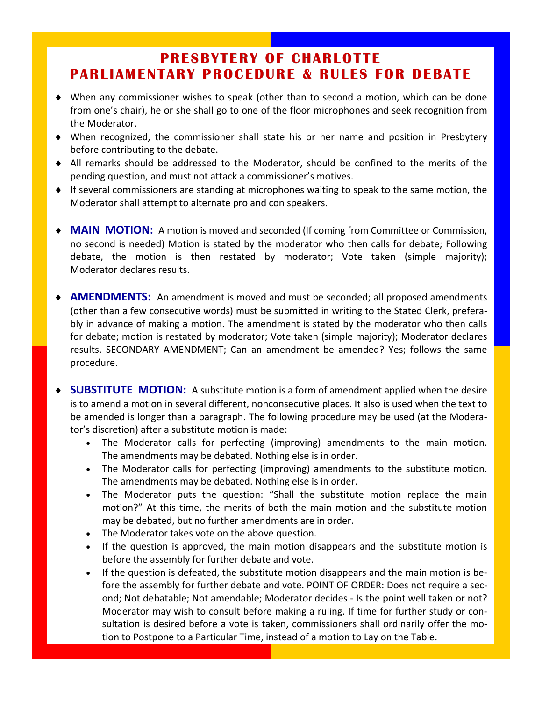## **PRESBYTERY OF CHARLOTTE PRESBYTERY OF CHARLOTTE PARLIAMENTARY PROCEDURE & RULES FOR DEBATE**

- When any commissioner wishes to speak (other than to second a motion, which can be done from one's chair), he or she shall go to one of the floor microphones and seek recognition from the Moderator.
- When recognized, the commissioner shall state his or her name and position in Presbytery before contributing to the debate.
- All remarks should be addressed to the Moderator, should be confined to the merits of the pending question, and must not attack a commissioner's motives.
- If several commissioners are standing at microphones waiting to speak to the same motion, the Moderator shall attempt to alternate pro and con speakers.
- **MAIN MOTION:** A motion is moved and seconded (If coming from Committee or Commission, no second is needed) Motion is stated by the moderator who then calls for debate; Following debate, the motion is then restated by moderator; Vote taken (simple majority); Moderator declares results.
- **AMENDMENTS:** An amendment is moved and must be seconded; all proposed amendments (other than a few consecutive words) must be submitted in writing to the Stated Clerk, prefera‐ bly in advance of making a motion. The amendment is stated by the moderator who then calls for debate; motion is restated by moderator; Vote taken (simple majority); Moderator declares results. SECONDARY AMENDMENT; Can an amendment be amended? Yes; follows the same procedure.
- **SUBSTITUTE MOTION:** A substitute motion is a form of amendment applied when the desire is to amend a motion in several different, nonconsecutive places. It also is used when the text to be amended is longer than a paragraph. The following procedure may be used (at the Modera‐ tor's discretion) after a substitute motion is made:
	- The Moderator calls for perfecting (improving) amendments to the main motion. The amendments may be debated. Nothing else is in order.
	- The Moderator calls for perfecting (improving) amendments to the substitute motion. The amendments may be debated. Nothing else is in order.
	- The Moderator puts the question: "Shall the substitute motion replace the main motion?" At this time, the merits of both the main motion and the substitute motion may be debated, but no further amendments are in order.
	- The Moderator takes vote on the above question.
	- If the question is approved, the main motion disappears and the substitute motion is before the assembly for further debate and vote.
	- If the question is defeated, the substitute motion disappears and the main motion is be‐ fore the assembly for further debate and vote. POINT OF ORDER: Does not require a second; Not debatable; Not amendable; Moderator decides ‐ Is the point well taken or not? Moderator may wish to consult before making a ruling. If time for further study or con‐ sultation is desired before a vote is taken, commissioners shall ordinarily offer the motion to Postpone to a Particular Time, instead of a motion to Lay on the Table.